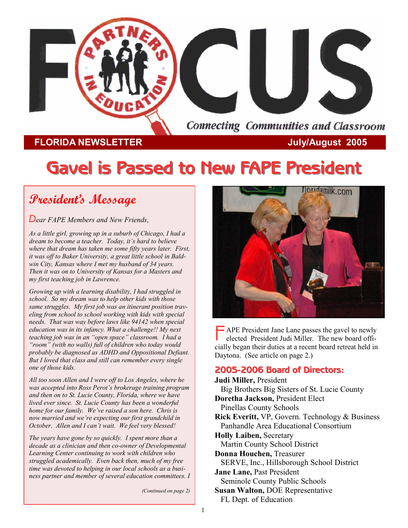

## **FLORIDA NEWSLETTER CONSUMPTER July/August 2005**

# **Gavel is Passed to New FAPE President Gavel is Passed to New FAPE President**

# **President's Message**

*Dear FAPE Members and New Friends,* 

*As a little girl, growing up in a suburb of Chicago, I had a dream to become a teacher. Today, it's hard to believe where that dream has taken me some fifty years later. First, it was off to Baker University, a great little school in Baldwin City, Kansas where I met my husband of 34 years. Then it was on to University of Kansas for a Masters and my first teaching job in Lawrence.* 

*Growing up with a learning disability, I had struggled in school. So my dream was to help other kids with those same struggles. My first job was an itinerant position traveling from school to school working with kids with special needs. That was way before laws like 94142 when special education was in its infancy. What a challenge!! My next teaching job was in an "open space" classroom. I had a "room" (with no walls) full of children who today would probably be diagnosed as ADHD and Oppositional Defiant. But I loved that class and still can remember every single one of those kids.* 

*All too soon Allen and I were off to Los Angeles, where he was accepted into Ross Perot's brokerage training program and then on to St. Lucie County, Florida, where we have lived ever since. St. Lucie County has been a wonderful home for our family. We've raised a son here. Chris is now married and we're expecting our first grandchild in October. Allen and I can't wait. We feel very blessed!* 

*The years have gone by so quickly. I spent more than a decade as a clinician and then co-owner of Developmental Learning Center continuing to work with children who struggled academically. Even back then, much of my free time was devoted to helping in our local schools as a business partner and member of several education committees. I* 

*(Continued on page 2)* 



 $\overline{\phantom{a}}$  APE President Jane Lane passes the gavel to newly elected President Judi Miller. The new board officially began their duties at a recent board retreat held in Daytona. (See article on page 2.)

### **2005-2006 Board of Directors: 2006 Board of Directors:**

**Judi Miller,** President Big Brothers Big Sisters of St. Lucie County **Doretha Jackson,** President Elect Pinellas County Schools **Rick Everitt,** VP, Govern. Technology & Business Panhandle Area Educational Consortium **Holly Laiben,** Secretary Martin County School District **Donna Houchen,** Treasurer SERVE, Inc., Hillsborough School District **Jane Lane,** Past President Seminole County Public Schools **Susan Walton,** DOE Representative FL Dept. of Education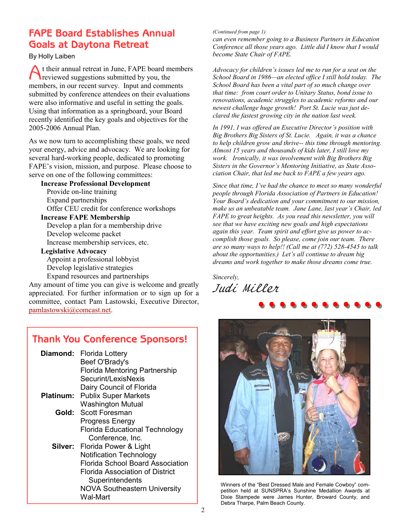## **FAPE Board Establishes Annual Goals at Daytona Retreat**

By Holly Laiben

A t their annual retreat in June, FAPE board members reviewed suggestions submitted by you, the members, in our recent survey. Input and comments submitted by conference attendees on their evaluations were also informative and useful in setting the goals. Using that information as a springboard, your Board recently identified the key goals and objectives for the 2005-2006 Annual Plan.

As we now turn to accomplishing these goals, we need your energy, advice and advocacy. We are looking for several hard-working people, dedicated to promoting FAPE's vision, mission, and purpose. Please choose to serve on one of the following committees:

**Increase Professional Development**  Provide on-line training Expand partnerships Offer CEU credit for conference workshops

**Increase FAPE Membership** 

 Develop a plan for a membership drive Develop welcome packet Increase membership services, etc.

**Legislative Advocacy** 

 Appoint a professional lobbyist Develop legislative strategies Expand resources and partnerships

Any amount of time you can give is welcome and greatly appreciated. For further information or to sign up for a committee, contact Pam Lastowski, Executive Director, pamlastowski@comcast.net.

#### **Thank You Conference Sponsors! Diamond:** Florida Lottery Beef O'Brady's Florida Mentoring Partnership Securint/LexisNexis Dairy Council of Florida  **Platinum:** Publix Super Markets Washington Mutual  **Gold:** Scott Foresman Progress Energy Florida Educational Technology Conference, Inc.  **Silver:** Florida Power & Light

 Notification Technology Florida School Board Association Florida Association of District **Superintendents**  NOVA Southeastern University Wal-Mart

#### *(Continued from page 1)*

*can even remember going to a Business Partners in Education Conference all those years ago. Little did I know that I would become State Chair of FAPE.* 

*Advocacy for children's issues led me to run for a seat on the School Board in 1986—an elected office I still hold today. The School Board has been a vital part of so much change over that time: from court order to Unitary Status, bond issue to renovations, academic struggles to academic reforms and our newest challenge huge growth! Port St. Lucie was just declared the fastest growing city in the nation last week.* 

*In 1991, I was offered an Executive Director's position with Big Brothers Big Sisters of St. Lucie. Again, it was a chance to help children grow and thrive-- this time through mentoring. Almost 15 years and thousands of kids later, I still love my work. Ironically, it was involvement with Big Brothers Big Sisters in the Governor's Mentoring Initiative, as State Association Chair, that led me back to FAPE a few years ago.* 

*Since that time, I've had the chance to meet so many wonderful people through Florida Association of Partners in Education! Your Board's dedication and your commitment to our mission, make us an unbeatable team. Jane Lane, last year's Chair, led FAPE to great heights. As you read this newsletter, you will see that we have exciting new goals and high expectations again this year. Team spirit and effort give us power to accomplish those goals. So please, come join our team. There are so many ways to help!! (Call me at (772) 528-4545 to talk about the opportunities.) Let's all continue to dream big dreams and work together to make those dreams come true.* 

**iller**<br>•••••••••••••• *Sincerely,*  Judi Miller



Winners of the "Best Dressed Male and Female Cowboy" competition held at SUNSPRA's Sunshine Medallion Awards at Dixie Stampede were James Hunter, Broward County, and Debra Tharpe, Palm Beach County.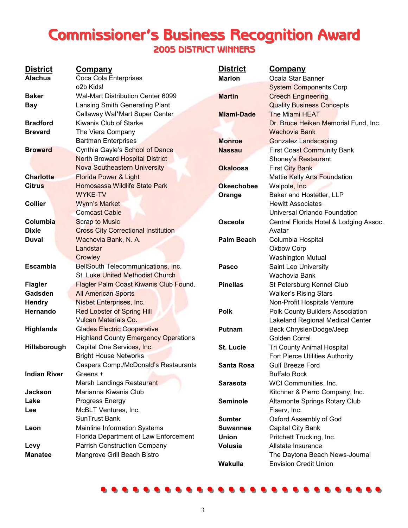# **Commissioner's Business Recognition Award 2005 DISTRICT WINNERS 2005 DISTRICT WINNERS**

| <b>District</b><br><b>Alachua</b> | <b>Company</b>                              | <b>District</b>   | <b>Company</b>                                                |
|-----------------------------------|---------------------------------------------|-------------------|---------------------------------------------------------------|
|                                   | Coca Cola Enterprises<br>o2b Kids!          | <b>Marion</b>     | Ocala Star Banner                                             |
| <b>Baker</b>                      | Wal-Mart Distribution Center 6099           | <b>Martin</b>     | <b>System Components Corp</b>                                 |
| <b>Bay</b>                        | Lansing Smith Generating Plant              |                   | <b>Creech Engineering</b><br><b>Quality Business Concepts</b> |
|                                   | Callaway Wal*Mart Super Center              | <b>Miami-Dade</b> | The Miami HEAT                                                |
| <b>Bradford</b>                   | Kiwanis Club of Starke                      |                   |                                                               |
| <b>Brevard</b>                    | The Viera Company                           |                   | Dr. Bruce Heiken Memorial Fund, Inc.<br><b>Wachovia Bank</b>  |
|                                   |                                             |                   |                                                               |
|                                   | <b>Bartman Enterprises</b>                  | <b>Monroe</b>     | <b>Gonzalez Landscaping</b>                                   |
| <b>Broward</b>                    | Cynthia Gayle's School of Dance             | <b>Nassau</b>     | <b>First Coast Community Bank</b>                             |
|                                   | <b>North Broward Hospital District</b>      |                   | Shoney's Restaurant                                           |
|                                   | <b>Nova Southeastern University</b>         | <b>Okaloosa</b>   | <b>First City Bank</b>                                        |
| <b>Charlotte</b>                  | <b>Florida Power &amp; Light</b>            |                   | <b>Mattie Kelly Arts Foundation</b>                           |
| <b>Citrus</b>                     | Homosassa Wildlife State Park               | <b>Okeechobee</b> | Walpole, Inc.                                                 |
|                                   | <b>WYKE-TV</b>                              | Orange            | Baker and Hostetler, LLP                                      |
| <b>Collier</b>                    | <b>Wynn's Market</b>                        |                   | <b>Hewitt Associates</b>                                      |
|                                   | <b>Comcast Cable</b>                        |                   | Universal Orlando Foundation                                  |
| Columbia                          | <b>Scrap to Music</b>                       | <b>Osceola</b>    | Central Florida Hotel & Lodging Assoc.                        |
| <b>Dixie</b>                      | <b>Cross City Correctional Institution</b>  |                   | Avatar                                                        |
| <b>Duval</b>                      | Wachovia Bank, N. A.                        | <b>Palm Beach</b> | Columbia Hospital                                             |
|                                   | Landstar                                    |                   | Oxbow Corp                                                    |
|                                   | Crowley                                     |                   | <b>Washington Mutual</b>                                      |
| <b>Escambia</b>                   | BellSouth Telecommunications, Inc.          | Pasco             | Saint Leo University                                          |
|                                   | <b>St. Luke United Methodist Church</b>     |                   | Wachovia Bank                                                 |
| <b>Flagler</b>                    | Flagler Palm Coast Kiwanis Club Found.      | <b>Pinellas</b>   | St Petersburg Kennel Club                                     |
| Gadsden                           | <b>All American Sports</b>                  |                   | <b>Walker's Rising Stars</b>                                  |
| <b>Hendry</b>                     | Nisbet Enterprises, Inc.                    |                   | Non-Profit Hospitals Venture                                  |
| Hernando                          | <b>Red Lobster of Spring Hill</b>           | <b>Polk</b>       | Polk County Builders Association                              |
|                                   | <b>Vulcan Materials Co.</b>                 |                   | Lakeland Regional Medical Center                              |
| <b>Highlands</b>                  | <b>Glades Electric Cooperative</b>          | Putnam            | Beck Chrysler/Dodge/Jeep                                      |
|                                   | <b>Highland County Emergency Operations</b> |                   | Golden Corral                                                 |
| Hillsborough                      | Capital One Services, Inc.                  | <b>St. Lucie</b>  | <b>Tri County Animal Hospital</b>                             |
|                                   | <b>Bright House Networks</b>                |                   | Fort Pierce Utilities Authority                               |
|                                   | Caspers Comp./McDonald's Restaurants        | <b>Santa Rosa</b> | <b>Gulf Breeze Ford</b>                                       |
| <b>Indian River</b>               | Greens +                                    |                   | <b>Buffalo Rock</b>                                           |
|                                   | Marsh Landings Restaurant                   | <b>Sarasota</b>   | WCI Communities, Inc.                                         |
| Jackson                           | Marianna Kiwanis Club                       |                   | Kitchner & Pierro Company, Inc.                               |
| Lake                              | Progress Energy                             | <b>Seminole</b>   | Altamonte Springs Rotary Club                                 |
| Lee                               | McBLT Ventures, Inc.                        |                   | Fiserv, Inc.                                                  |
|                                   | SunTrust Bank                               | <b>Sumter</b>     | Oxford Assembly of God                                        |
| Leon                              | Mainline Information Systems                | <b>Suwannee</b>   | Capital City Bank                                             |
|                                   | Florida Department of Law Enforcement       | <b>Union</b>      | Pritchett Trucking, Inc.                                      |
| Levy                              | <b>Parrish Construction Company</b>         | <b>Volusia</b>    | Allstate Insurance                                            |
| <b>Manatee</b>                    | Mangrove Grill Beach Bistro                 |                   | The Daytona Beach News-Journal                                |
|                                   |                                             | Wakulla           | <b>Envision Credit Union</b>                                  |

**……………………... ……………………...**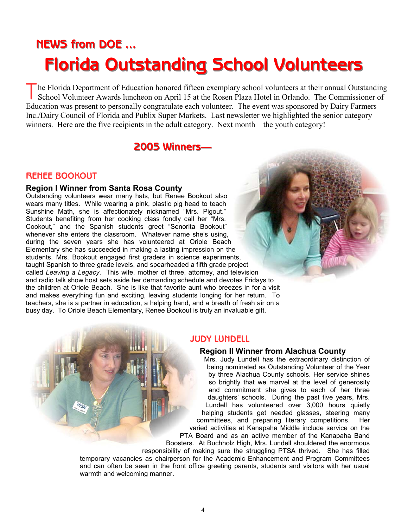# **NEWS from DOE ... NEWS from DOE ... Florida Outstanding School Volunteers Florida Outstanding School Volunteers**

he Florida Department of Education honored fifteen exemplary school volunteers at their annual Outstanding School Volunteer Awards luncheon on April 15 at the Rosen Plaza Hotel in Orlando. The Commissioner of Education was present to personally congratulate each volunteer. The event was sponsored by Dairy Farmers Inc./Dairy Council of Florida and Publix Super Markets. Last newsletter we highlighted the senior category winners. Here are the five recipients in the adult category. Next month—the youth category!

## **2005 Winners 2005 Winners—**

#### **RENEE BOOKOUT**

#### **Region I Winner from Santa Rosa County**

Outstanding volunteers wear many hats, but Renee Bookout also wears many titles. While wearing a pink, plastic pig head to teach Sunshine Math, she is affectionately nicknamed "Mrs. Pigout." Students benefiting from her cooking class fondly call her "Mrs. Cookout," and the Spanish students greet "Senorita Bookout" whenever she enters the classroom. Whatever name she's using, during the seven years she has volunteered at Oriole Beach Elementary she has succeeded in making a lasting impression on the students. Mrs. Bookout engaged first graders in science experiments, taught Spanish to three grade levels, and spearheaded a fifth grade project called *Leaving a Legacy*. This wife, mother of three, attorney, and television and radio talk show host sets aside her demanding schedule and devotes Fridays to the children at Oriole Beach. She is like that favorite aunt who breezes in for a visit and makes everything fun and exciting, leaving students longing for her return. To teachers, she is a partner in education, a helping hand, and a breath of fresh air on a busy day. To Oriole Beach Elementary, Renee Bookout is truly an invaluable gift.

#### **JUDY LUNDELL**

#### **Region II Winner from Alachua County**

Mrs. Judy Lundell has the extraordinary distinction of being nominated as Outstanding Volunteer of the Year by three Alachua County schools. Her service shines so brightly that we marvel at the level of generosity and commitment she gives to each of her three daughters' schools. During the past five years, Mrs. Lundell has volunteered over 3,000 hours quietly helping students get needed glasses, steering many committees, and preparing literary competitions. Her varied activities at Kanapaha Middle include service on the PTA Board and as an active member of the Kanapaha Band Boosters. At Buchholz High, Mrs. Lundell shouldered the enormous

responsibility of making sure the struggling PTSA thrived. She has filled temporary vacancies as chairperson for the Academic Enhancement and Program Committees and can often be seen in the front office greeting parents, students and visitors with her usual warmth and welcoming manner.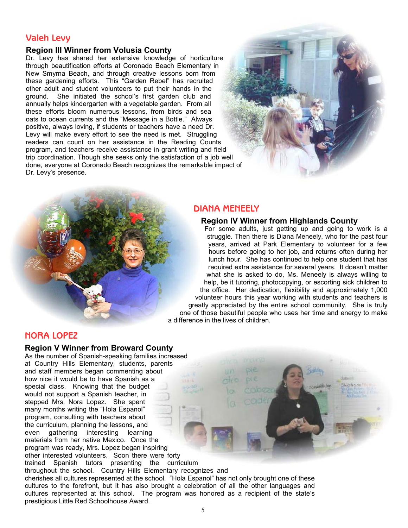### **Valeh Levy**

#### **Region III Winner from Volusia County**

Dr. Levy has shared her extensive knowledge of horticulture through beautification efforts at Coronado Beach Elementary in New Smyrna Beach, and through creative lessons born from these gardening efforts. This "Garden Rebel" has recruited other adult and student volunteers to put their hands in the ground. She initiated the school's first garden club and annually helps kindergarten with a vegetable garden. From all these efforts bloom numerous lessons, from birds and sea oats to ocean currents and the "Message in a Bottle." Always positive, always loving, if students or teachers have a need Dr. Levy will make every effort to see the need is met. Struggling readers can count on her assistance in the Reading Counts program, and teachers receive assistance in grant writing and field trip coordination. Though she seeks only the satisfaction of a job well done, everyone at Coronado Beach recognizes the remarkable impact of Dr. Levy's presence.





#### **DIANA MENEELY**

#### **Region IV Winner from Highlands County**

For some adults, just getting up and going to work is a struggle. Then there is Diana Meneely, who for the past four years, arrived at Park Elementary to volunteer for a few hours before going to her job, and returns often during her lunch hour. She has continued to help one student that has required extra assistance for several years. It doesn't matter what she is asked to do, Ms. Meneely is always willing to help, be it tutoring, photocopying, or escorting sick children to the office. Her dedication, flexibility and approximately 1,000 volunteer hours this year working with students and teachers is greatly appreciated by the entire school community. She is truly one of those beautiful people who uses her time and energy to make a difference in the lives of children.

#### **NORA LOPEZ**

#### **Region V Winner from Broward County**

As the number of Spanish-speaking families increased at Country Hills Elementary, students, parents and staff members began commenting about how nice it would be to have Spanish as a special class. Knowing that the budget would not support a Spanish teacher, in stepped Mrs. Nora Lopez. She spent many months writing the "Hola Espanol" program, consulting with teachers about the curriculum, planning the lessons, and even gathering interesting learning materials from her native Mexico. Once the program was ready, Mrs. Lopez began inspiring other interested volunteers. Soon there were forty trained Spanish tutors presenting the curriculum throughout the school. Country Hills Elementary recognizes and

cherishes all cultures represented at the school. "Hola Espanol" has not only brought one of these cultures to the forefront, but it has also brought a celebration of all the other languages and cultures represented at this school. The program was honored as a recipient of the state's prestigious Little Red Schoolhouse Award.